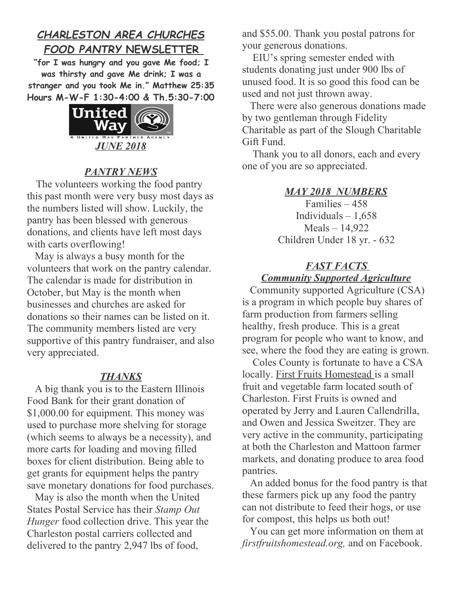# *CHARLESTON AREA CHURCHES FOOD PANTRY* **NEWSLETTER**

**"for I was hungry and you gave Me food; I was thirsty and gave Me drink; I was a stranger and you took Me in." Matthew 25:35 Hours M-W-F 1:30-4:00 & Th.5:30-7:00**



## *PANTRY NEWS*

 The volunteers working the food pantry this past month were very busy most days as the numbers listed will show. Luckily, the pantry has been blessed with generous donations, and clients have left most days with carts overflowing!

 May is always a busy month for the volunteers that work on the pantry calendar. The calendar is made for distribution in October, but May is the month when businesses and churches are asked for donations so their names can be listed on it. The community members listed are very supportive of this pantry fundraiser, and also very appreciated.

#### *THANKS*

 A big thank you is to the Eastern Illinois Food Bank for their grant donation of \$1,000.00 for equipment. This money was used to purchase more shelving for storage (which seems to always be a necessity), and more carts for loading and moving filled boxes for client distribution. Being able to get grants for equipment helps the pantry save monetary donations for food purchases.

 May is also the month when the United States Postal Service has their *Stamp Out Hunger* food collection drive. This year the Charleston postal carriers collected and delivered to the pantry 2,947 lbs of food,

and \$55.00. Thank you postal patrons for your generous donations.

 EIU's spring semester ended with students donating just under 900 lbs of unused food. It is so good this food can be used and not just thrown away.

 There were also generous donations made by two gentleman through Fidelity Charitable as part of the Slough Charitable Gift Fund.

 Thank you to all donors, each and every one of you are so appreciated.

#### *MAY 2018 NUMBERS*

Families – 458 Individuals  $-1,658$ Meals – 14,922 Children Under 18 yr. - 632

### *FAST FACTS Community Supported Agriculture*

 Community supported Agriculture (CSA) is a program in which people buy shares of farm production from farmers selling healthy, fresh produce. This is a great program for people who want to know, and see, where the food they are eating is grown.

 Coles County is fortunate to have a CSA locally. First Fruits Homestead is a small fruit and vegetable farm located south of Charleston. First Fruits is owned and operated by Jerry and Lauren Callendrilla, and Owen and Jessica Sweitzer. They are very active in the community, participating at both the Charleston and Mattoon farmer markets, and donating produce to area food pantries.

 An added bonus for the food pantry is that these farmers pick up any food the pantry can not distribute to feed their hogs, or use for compost, this helps us both out!

 You can get more information on them at *firstfruitshomestead.org,* and on Facebook.